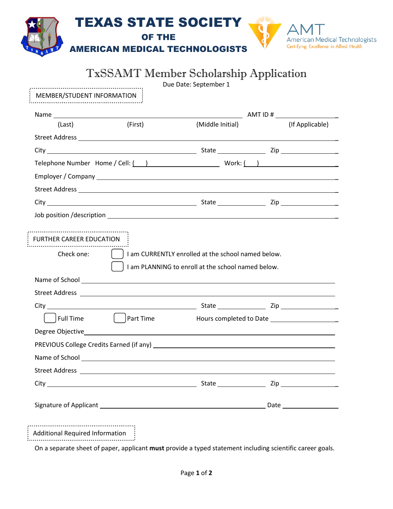|                                 | <b>TxSSAMT Member Scholarship Application</b>                                                                                                                                                                                        | Due Date: September 1                              |                 |
|---------------------------------|--------------------------------------------------------------------------------------------------------------------------------------------------------------------------------------------------------------------------------------|----------------------------------------------------|-----------------|
| MEMBER/STUDENT INFORMATION      |                                                                                                                                                                                                                                      |                                                    |                 |
|                                 |                                                                                                                                                                                                                                      |                                                    |                 |
| (Last)                          | (First)                                                                                                                                                                                                                              | (Middle Initial)                                   | (If Applicable) |
|                                 |                                                                                                                                                                                                                                      |                                                    |                 |
|                                 |                                                                                                                                                                                                                                      |                                                    |                 |
|                                 | Telephone Number Home / Cell: $($ ) Work: $($ )                                                                                                                                                                                      |                                                    |                 |
|                                 |                                                                                                                                                                                                                                      |                                                    |                 |
|                                 |                                                                                                                                                                                                                                      |                                                    |                 |
|                                 |                                                                                                                                                                                                                                      |                                                    |                 |
| Check one:                      |                                                                                                                                                                                                                                      | am CURRENTLY enrolled at the school named below.   |                 |
| <b>FURTHER CAREER EDUCATION</b> |                                                                                                                                                                                                                                      | I am PLANNING to enroll at the school named below. |                 |
|                                 | Street Address <b>Contract Contract Contract Contract Contract Contract Contract Contract Contract Contract Contract Contract Contract Contract Contract Contract Contract Contract Contract Contract Contract Contract Contract</b> |                                                    |                 |
|                                 |                                                                                                                                                                                                                                      |                                                    |                 |
| <b>Full Time</b>                | Part Time                                                                                                                                                                                                                            |                                                    |                 |
|                                 |                                                                                                                                                                                                                                      |                                                    |                 |
|                                 |                                                                                                                                                                                                                                      |                                                    |                 |
|                                 |                                                                                                                                                                                                                                      |                                                    |                 |
|                                 |                                                                                                                                                                                                                                      |                                                    |                 |
|                                 |                                                                                                                                                                                                                                      |                                                    |                 |
|                                 |                                                                                                                                                                                                                                      |                                                    |                 |

On a separate sheet of paper, applicant **must** provide a typed statement including scientific career goals.